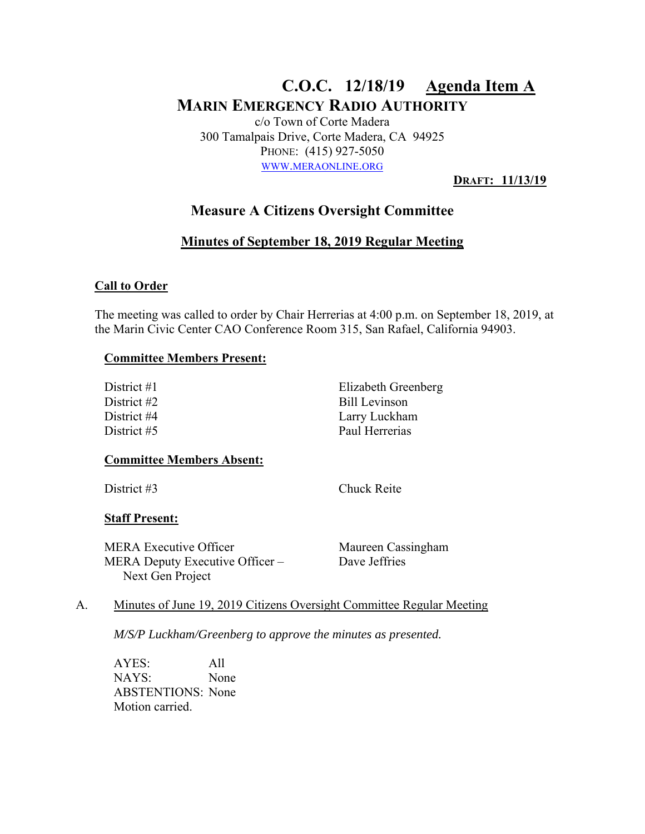# **C.O.C. 12/18/19 Agenda Item A MARIN EMERGENCY RADIO AUTHORITY**

c/o Town of Corte Madera 300 Tamalpais Drive, Corte Madera, CA 94925 PHONE: (415) 927-5050 WWW.MERAONLINE.ORG

**DRAFT: 11/13/19** 

## **Measure A Citizens Oversight Committee**

### **Minutes of September 18, 2019 Regular Meeting**

#### **Call to Order**

The meeting was called to order by Chair Herrerias at 4:00 p.m. on September 18, 2019, at the Marin Civic Center CAO Conference Room 315, San Rafael, California 94903.

#### **Committee Members Present:**

| District #1 | Elizabeth Greenberg |
|-------------|---------------------|
| District #2 | Bill Levinson       |
| District #4 | Larry Luckham       |
| District #5 | Paul Herrerias      |

#### **Committee Members Absent:**

District #3 Chuck Reite

#### **Staff Present:**

MERA Executive Officer Maureen Cassingham MERA Deputy Executive Officer – Next Gen Project

Dave Jeffries

#### A. Minutes of June 19, 2019 Citizens Oversight Committee Regular Meeting

*M/S/P Luckham/Greenberg to approve the minutes as presented.* 

AYES: All NAYS: None ABSTENTIONS: None Motion carried.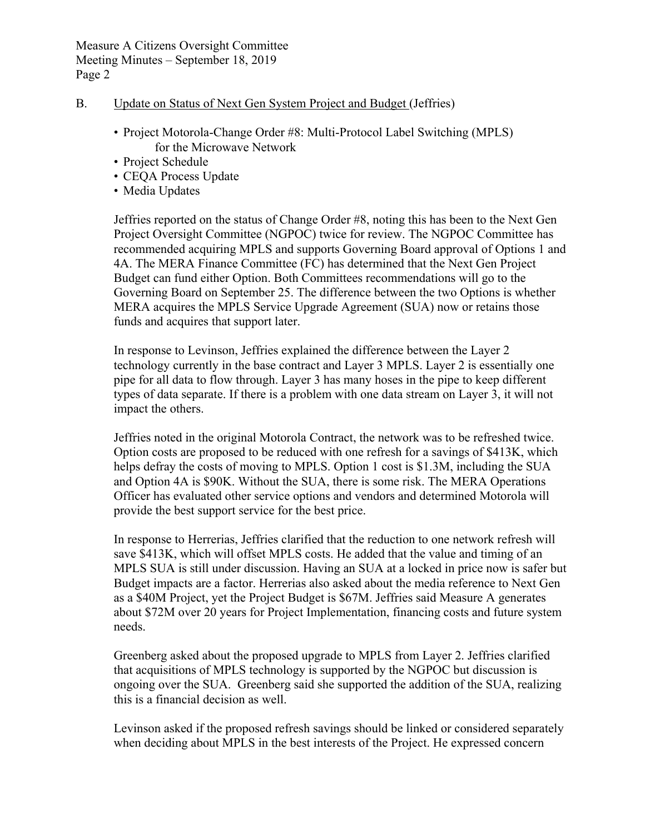#### B. Update on Status of Next Gen System Project and Budget (Jeffries)

- Project Motorola-Change Order #8: Multi-Protocol Label Switching (MPLS) for the Microwave Network
- Project Schedule
- CEQA Process Update
- Media Updates

Jeffries reported on the status of Change Order #8, noting this has been to the Next Gen Project Oversight Committee (NGPOC) twice for review. The NGPOC Committee has recommended acquiring MPLS and supports Governing Board approval of Options 1 and 4A. The MERA Finance Committee (FC) has determined that the Next Gen Project Budget can fund either Option. Both Committees recommendations will go to the Governing Board on September 25. The difference between the two Options is whether MERA acquires the MPLS Service Upgrade Agreement (SUA) now or retains those funds and acquires that support later.

In response to Levinson, Jeffries explained the difference between the Layer 2 technology currently in the base contract and Layer 3 MPLS. Layer 2 is essentially one pipe for all data to flow through. Layer 3 has many hoses in the pipe to keep different types of data separate. If there is a problem with one data stream on Layer 3, it will not impact the others.

Jeffries noted in the original Motorola Contract, the network was to be refreshed twice. Option costs are proposed to be reduced with one refresh for a savings of \$413K, which helps defray the costs of moving to MPLS. Option 1 cost is \$1.3M, including the SUA and Option 4A is \$90K. Without the SUA, there is some risk. The MERA Operations Officer has evaluated other service options and vendors and determined Motorola will provide the best support service for the best price.

In response to Herrerias, Jeffries clarified that the reduction to one network refresh will save \$413K, which will offset MPLS costs. He added that the value and timing of an MPLS SUA is still under discussion. Having an SUA at a locked in price now is safer but Budget impacts are a factor. Herrerias also asked about the media reference to Next Gen as a \$40M Project, yet the Project Budget is \$67M. Jeffries said Measure A generates about \$72M over 20 years for Project Implementation, financing costs and future system needs.

Greenberg asked about the proposed upgrade to MPLS from Layer 2. Jeffries clarified that acquisitions of MPLS technology is supported by the NGPOC but discussion is ongoing over the SUA. Greenberg said she supported the addition of the SUA, realizing this is a financial decision as well.

Levinson asked if the proposed refresh savings should be linked or considered separately when deciding about MPLS in the best interests of the Project. He expressed concern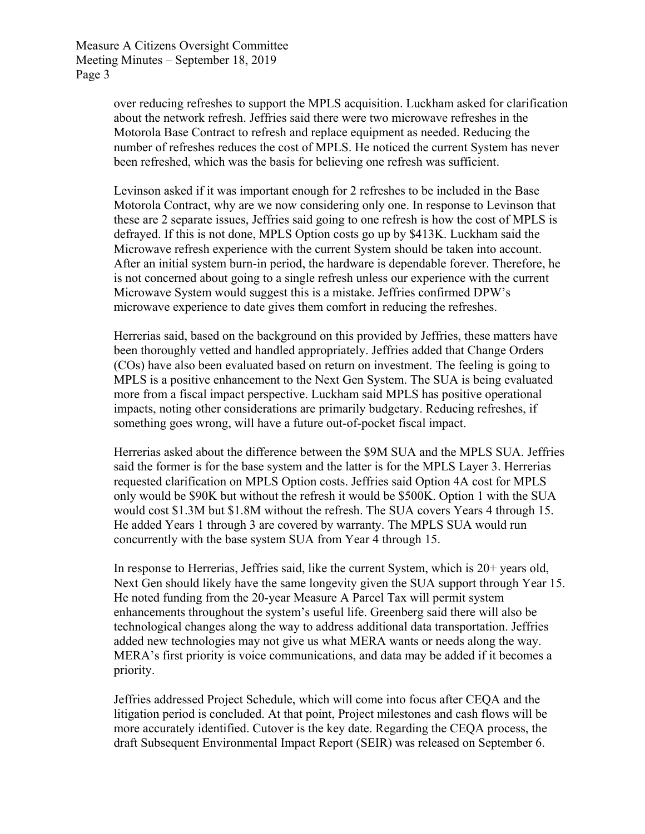> over reducing refreshes to support the MPLS acquisition. Luckham asked for clarification about the network refresh. Jeffries said there were two microwave refreshes in the Motorola Base Contract to refresh and replace equipment as needed. Reducing the number of refreshes reduces the cost of MPLS. He noticed the current System has never been refreshed, which was the basis for believing one refresh was sufficient.

Levinson asked if it was important enough for 2 refreshes to be included in the Base Motorola Contract, why are we now considering only one. In response to Levinson that these are 2 separate issues, Jeffries said going to one refresh is how the cost of MPLS is defrayed. If this is not done, MPLS Option costs go up by \$413K. Luckham said the Microwave refresh experience with the current System should be taken into account. After an initial system burn-in period, the hardware is dependable forever. Therefore, he is not concerned about going to a single refresh unless our experience with the current Microwave System would suggest this is a mistake. Jeffries confirmed DPW's microwave experience to date gives them comfort in reducing the refreshes.

Herrerias said, based on the background on this provided by Jeffries, these matters have been thoroughly vetted and handled appropriately. Jeffries added that Change Orders (COs) have also been evaluated based on return on investment. The feeling is going to MPLS is a positive enhancement to the Next Gen System. The SUA is being evaluated more from a fiscal impact perspective. Luckham said MPLS has positive operational impacts, noting other considerations are primarily budgetary. Reducing refreshes, if something goes wrong, will have a future out-of-pocket fiscal impact.

Herrerias asked about the difference between the \$9M SUA and the MPLS SUA. Jeffries said the former is for the base system and the latter is for the MPLS Layer 3. Herrerias requested clarification on MPLS Option costs. Jeffries said Option 4A cost for MPLS only would be \$90K but without the refresh it would be \$500K. Option 1 with the SUA would cost \$1.3M but \$1.8M without the refresh. The SUA covers Years 4 through 15. He added Years 1 through 3 are covered by warranty. The MPLS SUA would run concurrently with the base system SUA from Year 4 through 15.

In response to Herrerias, Jeffries said, like the current System, which is 20+ years old, Next Gen should likely have the same longevity given the SUA support through Year 15. He noted funding from the 20-year Measure A Parcel Tax will permit system enhancements throughout the system's useful life. Greenberg said there will also be technological changes along the way to address additional data transportation. Jeffries added new technologies may not give us what MERA wants or needs along the way. MERA's first priority is voice communications, and data may be added if it becomes a priority.

Jeffries addressed Project Schedule, which will come into focus after CEQA and the litigation period is concluded. At that point, Project milestones and cash flows will be more accurately identified. Cutover is the key date. Regarding the CEQA process, the draft Subsequent Environmental Impact Report (SEIR) was released on September 6.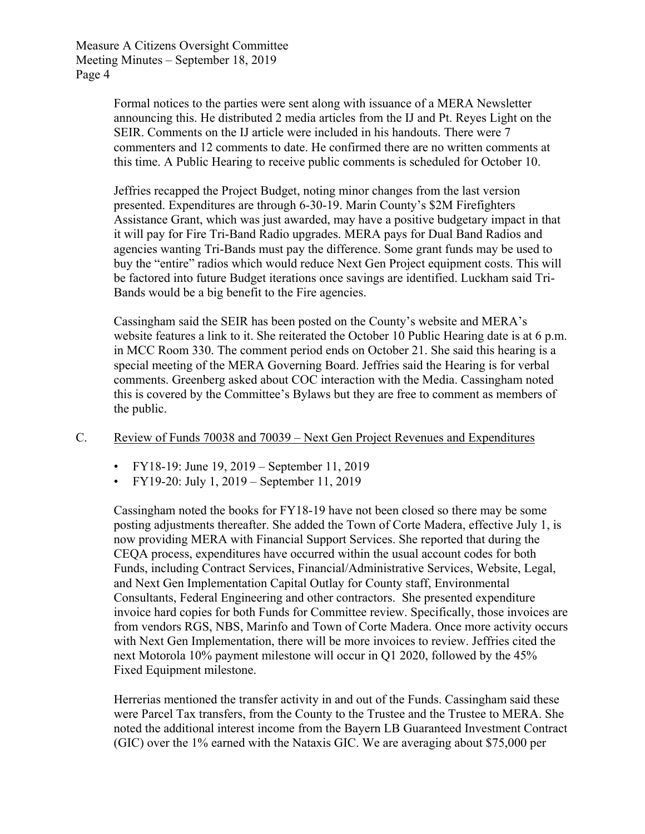> Formal notices to the parties were sent along with issuance of a MERA Newsletter announcing this. He distributed 2 media articles from the IJ and Pt. Reyes Light on the SEIR. Comments on the IJ article were included in his handouts. There were 7 commenters and 12 comments to date. He confirmed there are no written comments at this time. A Public Hearing to receive public comments is scheduled for October 10.

Jeffries recapped the Project Budget, noting minor changes from the last version presented. Expenditures are through 6-30-19. Marin County's \$2M Firefighters Assistance Grant, which was just awarded, may have a positive budgetary impact in that it will pay for Fire Tri-Band Radio upgrades. MERA pays for Dual Band Radios and agencies wanting Tri-Bands must pay the difference. Some grant funds may be used to buy the "entire" radios which would reduce Next Gen Project equipment costs. This will be factored into future Budget iterations once savings are identified. Luckham said Tri-Bands would be a big benefit to the Fire agencies.

Cassingham said the SEIR has been posted on the County's website and MERA's website features a link to it. She reiterated the October 10 Public Hearing date is at 6 p.m. in MCC Room 330. The comment period ends on October 21. She said this hearing is a special meeting of the MERA Governing Board. Jeffries said the Hearing is for verbal comments. Greenberg asked about COC interaction with the Media. Cassingham noted this is covered by the Committee's Bylaws but they are free to comment as members of the public.

#### C. Review of Funds 70038 and 70039 – Next Gen Project Revenues and Expenditures

- FY18-19: June 19, 2019 September 11, 2019
- FY19-20: July 1, 2019 September 11, 2019

Cassingham noted the books for FY18-19 have not been closed so there may be some posting adjustments thereafter. She added the Town of Corte Madera, effective July 1, is now providing MERA with Financial Support Services. She reported that during the CEQA process, expenditures have occurred within the usual account codes for both Funds, including Contract Services, Financial/Administrative Services, Website, Legal, and Next Gen Implementation Capital Outlay for County staff, Environmental Consultants, Federal Engineering and other contractors. She presented expenditure invoice hard copies for both Funds for Committee review. Specifically, those invoices are from vendors RGS, NBS, Marinfo and Town of Corte Madera. Once more activity occurs with Next Gen Implementation, there will be more invoices to review. Jeffries cited the next Motorola 10% payment milestone will occur in Q1 2020, followed by the 45% Fixed Equipment milestone.

Herrerias mentioned the transfer activity in and out of the Funds. Cassingham said these were Parcel Tax transfers, from the County to the Trustee and the Trustee to MERA. She noted the additional interest income from the Bayern LB Guaranteed Investment Contract (GIC) over the 1% earned with the Nataxis GIC. We are averaging about \$75,000 per